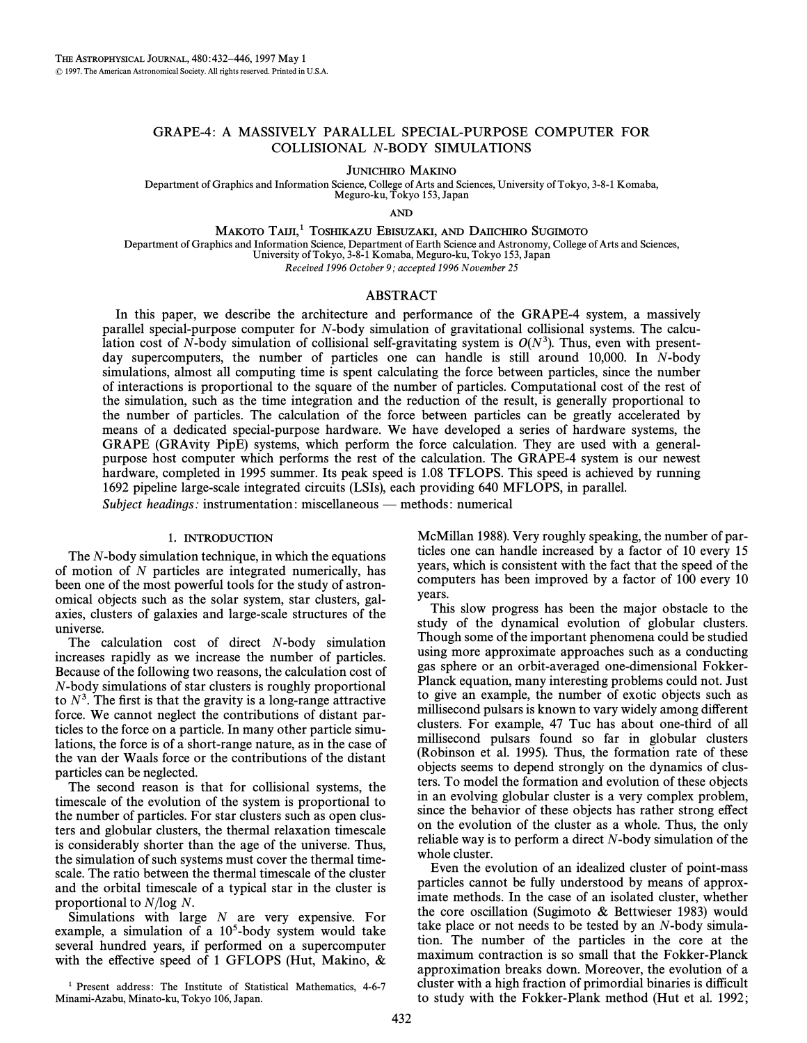# GRAPE-4: A MASSIVELY PARALLEL SPECIAL-PURPOSE COMPUTER FOR COLLISIONAL N-BODY SIMULATIONS

JUNICHIRO MAKINO

Department of Graphics and Information Science, College of Arts and Sciences, University of Tokyo, 3-8-1 Komaba, Meguro-ku, Tokyo 153, Japan

AND

MAKOTO TAIJI,<sup>1</sup> TOSHIKAZU EBISUZAKI, AND DAIICHIRO SUGIMOTO

Department of Graphics and Information Science, Department of Earth Science and Astronomy, College of Arts and Sciences, University of Tokyo, 3-8-1 Komaba, Meguro-ku, Tokyo 153, Japan

Received 1996 October 9; accepted 1996 November 25

# ABSTRACT

In this paper, we describe the architecture and performance of the GRAPE-4 system, a massively parallel special-purpose computer for N-body simulation of gravitational collisional systems. The calculation cost of N-body simulation of collisional self-gravitating system is  $O(N<sup>3</sup>)$ . Thus, even with presentday supercomputers, the number of particles one can handle is still around 10,000. In N-body simulations, almost all computing time is spent calculating the force between particles, since the number of interactions is proportional to the square of the number of particles. Computational cost of the rest of the simulation, such as the time integration and the reduction of the result, is generally proportional to the number of particles. The calculation of the force between particles can be greatly accelerated by means of a dedicated special-purpose hardware. We have developed a series of hardware systems, the GRAPE (GRAvity PipE) systems, which perform the force calculation. They are used with a generalpurpose host computer which performs the rest of the calculation. The GRAPE-4 system is our newest hardware, completed in 1995 summer. Its peak speed is 1.08 TFLOPS. This speed is achieved by running 1692 pipeline large-scale integrated circuits (LSIs), each providing 640 MFLOPS, in parallel. Subject headings: instrumentation: miscellaneous — methods: numerical

# 1. INTRODUCTION

The N-body simulation technique, in which the equations of motion of N particles are integrated numerically, has been one of the most powerful tools for the study of astronomical objects such as the solar system, star clusters, galaxies, clusters of galaxies and large-scale structures of the universe.

The calculation cost of direct N-body simulation increases rapidly as we increase the number of particles. Because of the following two reasons, the calculation cost of N-body simulations of star clusters is roughly proportional to  $N<sup>3</sup>$ . The first is that the gravity is a long-range attractive force. We cannot neglect the contributions of distant particles to the force on a particle. In many other particle simulations, the force is of a short-range nature, as in the case of the van der Waals force or the contributions of the distant particles can be neglected.

The second reason is that for collisional systems, the timescale of the evolution of the system is proportional to the number of particles. For star clusters such as open clusters and globular clusters, the thermal relaxation timescale is considerably shorter than the age of the universe. Thus, the simulation of such systems must cover the thermal timescale. The ratio between the thermal timescale of the cluster and the orbital timescale of a typical star in the cluster is proportional to N/log N.

Simulations with large  $N$  are very expensive. For example, a simulation of a  $10<sup>5</sup>$ -body system would take several hundred years, if performed on a supercomputer with the effective speed of 1 GFLOPS (Hut, Makino,  $\&$  McMillan 1988). Very roughly speaking, the number of particles one can handle increased by a factor of 10 every 15 years, which is consistent with the fact that the speed of the computers has been improved by a factor of 100 every 10 years.

This slow progress has been the major obstacle to the study of the dynamical evolution of globular clusters. Though some of the important phenomena could be studied using more approximate approaches such as a conducting gas sphere or an orbit-averaged one-dimensional Fokker-Planck equation, many interesting problems could not. Just to give an example, the number of exotic objects such as millisecond pulsars is known to vary widely among different clusters. For example, 47 Tuc has about one-third of all millisecond pulsars found so far in globular clusters (Robinson et al. 1995). Thus, the formation rate of these objects seems to depend strongly on the dynamics of clusters. To model the formation and evolution of these objects in an evolving globular cluster is a very complex problem, since the behavior of these objects has rather strong effect on the evolution of the cluster as a whole. Thus, the only reliable way is to perform a direct N-body simulation of the whole cluster.

Even the evolution of an idealized cluster of point-mass particles cannot be fully understood by means of approximate methods. In the case of an isolated cluster, whether the core oscillation (Sugimoto  $\&$  Bettwieser 1983) would take place or not needs to be tested by an N-body simulation. The number of the particles in the core at the maximum contraction is so small that the Fokker-Planck approximation breaks down. Moreover, the evolution of a cluster with a high fraction of primordial binaries is difficult to study with the Fokker-Plank method (Hut et al. 1992;

<sup>1</sup> Present address: The Institute of Statistical Mathematics, 4-6-7 Minami-Azabu, Minato-ku, Tokyo 106, Japan.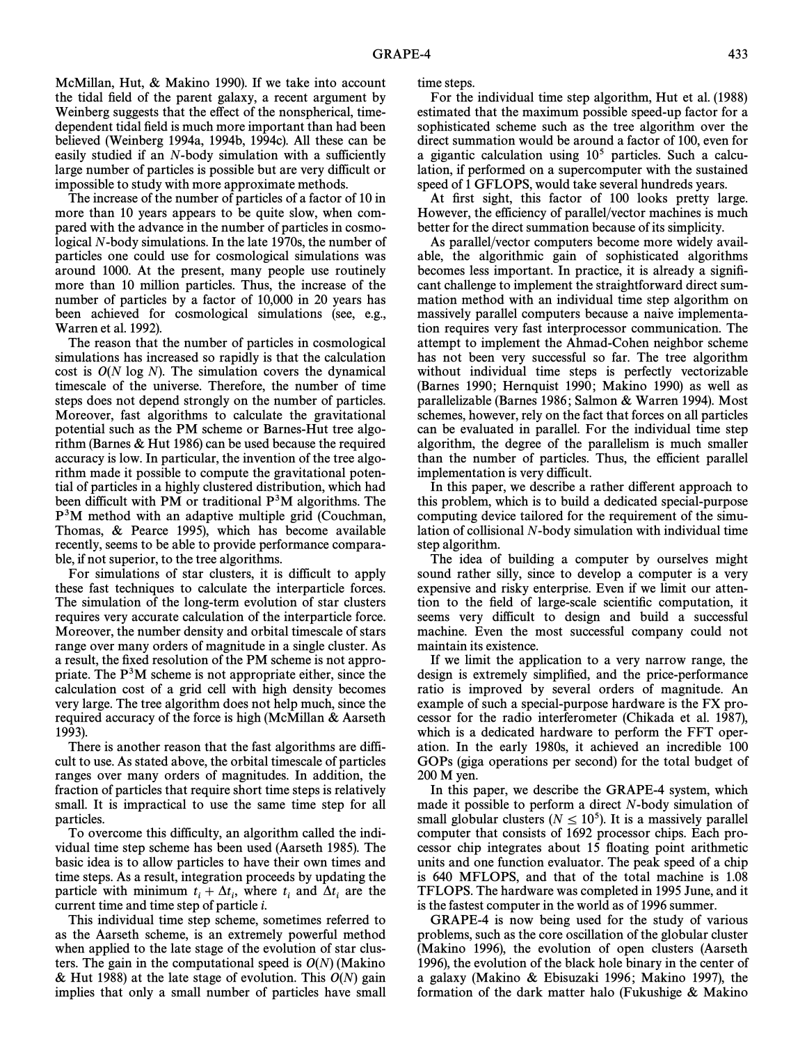McMillan, Hut,  $\&$  Makino 1990). If we take into account the tidal field of the parent galaxy, a recent argument by Weinberg suggests that the effect of the nonspherical, timedependent tidal field is much more important than had been believed (Weinberg 1994a, 1994b, 1994c). All these can be easily studied if an  $N$ -body simulation with a sufficiently large number of particles is possible but are very difficult or impossible to study with more approximate methods.

The increase of the number of particles of a factor of 10 in more than 10 years appears to be quite slow, when compared with the advance in the number of particles in cosmological N-body simulations. In the late 1970s, the number of particles one could use for cosmological simulations was around 1000. At the present, many people use routinely more than 10 million particles. Thus, the increase of the number of particles by a factor of 10,000 in 20 years has been achieved for cosmological simulations (see, e.g., Warren et al. 1992).

The reason that the number of particles in cosmological simulations has increased so rapidly is that the calculation cost is  $O(N \log N)$ . The simulation covers the dynamical timescale of the universe. Therefore, the number of time steps does not depend strongly on the number of particles. Moreover, fast algorithms to calculate the gravitational potential such as the PM scheme or Barnes-Hut tree algorithm (Barnes  $&$  Hut 1986) can be used because the required accuracy is low. In particular, the invention of the tree algorithm made it possible to compute the gravitational potential of particles in a highly clustered distribution, which had been difficult with PM or traditional  $P<sup>3</sup>M$  algorithms. The P3M method with an adaptive multiple grid (Couchman, Thomas,  $\&$  Pearce 1995), which has become available recently, seems to be able to provide performance comparable, if not superior, to the tree algorithms.

For simulations of star clusters, it is difficult to apply these fast techniques to calculate the interparticle forces. The simulation of the long-term evolution of star clusters requires very accurate calculation of the interparticle force. Moreover, the number density and orbital timescale of stars range over many orders of magnitude in a single cluster. As a result, the fixed resolution of the PM scheme is not appropriate. The  $P<sup>3</sup>M$  scheme is not appropriate either, since the calculation cost of a grid cell with high density becomes very large. The tree algorithm does not help much, since the required accuracy of the force is high (McMillan  $&$  Aarseth 1993).

There is another reason that the fast algorithms are difficult to use. As stated above, the orbital timescale of particles ranges over many orders of magnitudes. In addition, the fraction of particles that require short time steps is relatively small. It is impractical to use the same time step for all particles.

To overcome this difficulty, an algorithm called the individual time step scheme has been used (Aarseth 1985). The basic idea is to allow particles to have their own times and time steps. As a result, integration proceeds by updating the particle with minimum  $t_i + \Delta t_i$ , where  $t_i$  and  $\Delta t_i$  are the current time and time step of particle i particle with minimum  $v_i \mid \Delta v_i$ , where  $v_i$  and  $\Delta v_i$  current time and time step of particle *i*.

This individual time step scheme, sometimes referred to as the Aarseth scheme, is an extremely powerful method when applied to the late stage of the evolution of star clusters. The gain in the computational speed is  $O(N)$  (Makino & Hut 1988) at the late stage of evolution. This  $O(N)$  gain implies that only a small number of particles have small time steps.

For the individual time step algorithm, Hut et al. (1988) estimated that the maximum possible speed-up factor for a sophisticated scheme such as the tree algorithm over the direct summation would be around a factor of 100, even for a gigantic calculation using  $10<sup>5</sup>$  particles. Such a calculation, if performed on a supercomputer with the sustained speed of 1 GFLOPS, would take several hundreds years.

At first sight, this factor of 100 looks pretty large. However, the efficiency of parallel/vector machines is much better for the direct summation because of its simplicity.

As parallel/vector computers become more widely available, the algorithmic gain of sophisticated algorithms becomes less important. In practice, it is already a signiÐcant challenge to implement the straightforward direct summation method with an individual time step algorithm on massively parallel computers because a naive implementation requires very fast interprocessor communication. The attempt to implement the Ahmad-Cohen neighbor scheme has not been very successful so far. The tree algorithm without individual time steps is perfectly vectorizable (Barnes 1990; Hernquist 1990; Makino 1990) as well as parallelizable (Barnes 1986; Salmon & Warren 1994). Most schemes, however, rely on the fact that forces on all particles can be evaluated in parallel. For the individual time step algorithm, the degree of the parallelism is much smaller than the number of particles. Thus, the efficient parallel implementation is very difficult.

In this paper, we describe a rather different approach to this problem, which is to build a dedicated special-purpose computing device tailored for the requirement of the simulation of collisional N-body simulation with individual time step algorithm.

The idea of building a computer by ourselves might sound rather silly, since to develop a computer is a very expensive and risky enterprise. Even if we limit our attention to the field of large-scale scientific computation, it seems very difficult to design and build a successful machine. Even the most successful company could not maintain its existence.

If we limit the application to a very narrow range, the design is extremely simplified, and the price-performance ratio is improved by several orders of magnitude. An example of such a special-purpose hardware is the FX processor for the radio interferometer (Chikada et al. 1987), which is a dedicated hardware to perform the FFT operation. In the early 1980s, it achieved an incredible 100 GOPs (giga operations per second) for the total budget of 200 M yen.

In this paper, we describe the GRAPE-4 system, which made it possible to perform a direct N-body simulation of small globular clusters ( $N \le 10^5$ ). It is a massively parallel computer that consists of 1692 processor chips. Each processor chip integrates about 15 Ñoating point arithmetic units and one function evaluator. The peak speed of a chip is 640 MFLOPS, and that of the total machine is 1.08 TFLOPS. The hardware was completed in 1995 June, and it is the fastest computer in the world as of 1996 summer.

GRAPE-4 is now being used for the study of various problems, such as the core oscillation of the globular cluster (Makino 1996), the evolution of open clusters (Aarseth 1996), the evolution of the black hole binary in the center of a galaxy (Makino & Ebisuzaki 1996; Makino 1997), the formation of the dark matter halo (Fukushige  $\&$  Makino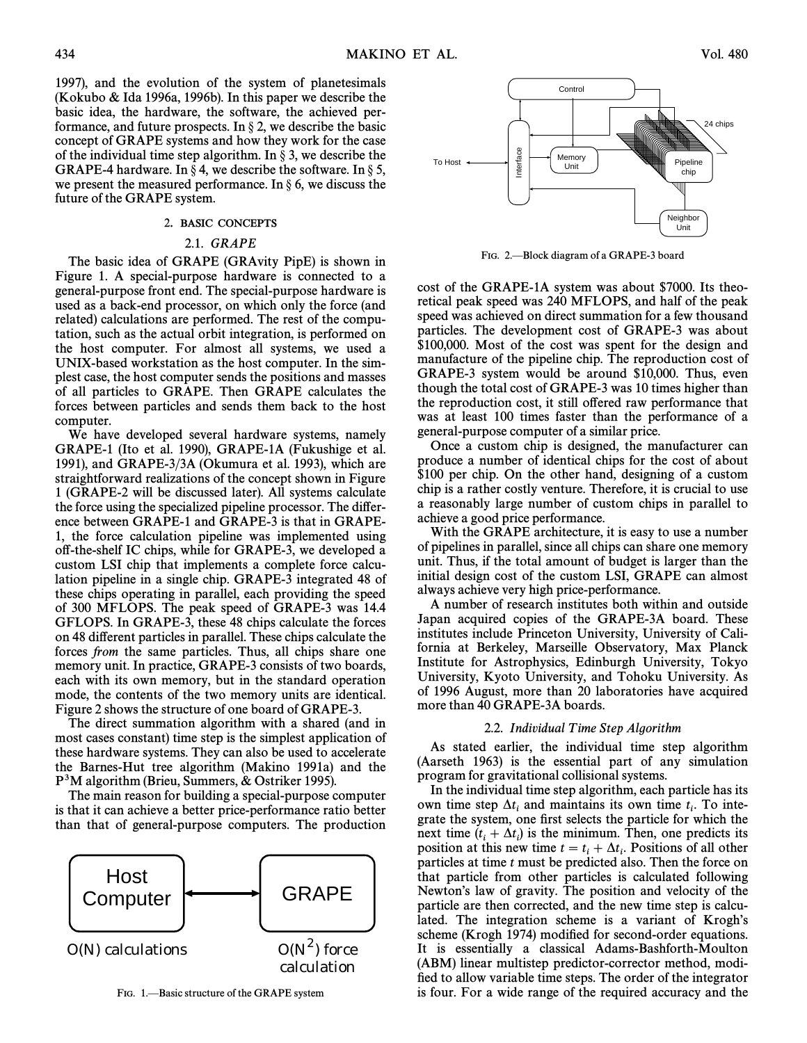1997), and the evolution of the system of planetesimals (Kokubo & Ida 1996a, 1996b). In this paper we describe the basic idea, the hardware, the software, the achieved performance, and future prospects. In  $\S 2$ , we describe the basic concept of GRAPE systems and how they work for the case of the individual time step algorithm. In  $\S$  3, we describe the GRAPE-4 hardware. In  $\S 4$ , we describe the software. In  $\S 5$ , we present the measured performance. In  $\S 6$ , we discuss the future of the GRAPE system.

## 2. BASIC CONCEPTS

# 2.1. GRAPE

The basic idea of GRAPE (GRAvity PipE) is shown in Figure 1. A special-purpose hardware is connected to a general-purpose front end. The special-purpose hardware is used as a back-end processor, on which only the force (and related) calculations are performed. The rest of the computation, such as the actual orbit integration, is performed on the host computer. For almost all systems, we used a UNIX-based workstation as the host computer. In the simplest case, the host computer sends the positions and masses of all particles to GRAPE. Then GRAPE calculates the forces between particles and sends them back to the host computer.

We have developed several hardware systems, namely GRAPE-1 (Ito et al. 1990), GRAPE-1A (Fukushige et al. 1991), and GRAPE-3/3A (Okumura et al. 1993), which are straightforward realizations of the concept shown in Figure 1 (GRAPE-2 will be discussed later). All systems calculate the force using the specialized pipeline processor. The di†erence between GRAPE-1 and GRAPE-3 is that in GRAPE-1, the force calculation pipeline was implemented using o†-the-shelf IC chips, while for GRAPE-3, we developed a custom LSI chip that implements a complete force calculation pipeline in a single chip. GRAPE-3 integrated 48 of these chips operating in parallel, each providing the speed of 300 MFLOPS. The peak speed of GRAPE-3 was 14.4 GFLOPS. In GRAPE-3, these 48 chips calculate the forces on 48 different particles in parallel. These chips calculate the forces from the same particles. Thus, all chips share one memory unit. In practice, GRAPE-3 consists of two boards, each with its own memory, but in the standard operation mode, the contents of the two memory units are identical. Figure 2 shows the structure of one board of GRAPE-3.

The direct summation algorithm with a shared (and in most cases constant) time step is the simplest application of these hardware systems. They can also be used to accelerate the Barnes-Hut tree algorithm (Makino 1991a) and the  $P<sup>3</sup>M$  algorithm (Brieu, Summers, & Ostriker 1995).

The main reason for building a special-purpose computer is that it can achieve a better price-performance ratio better than that of general-purpose computers. The production



FIG. 1. Basic structure of the GRAPE system



FIG. 2.—Block diagram of a GRAPE-3 board

cost of the GRAPE-1A system was about \$7000. Its theoretical peak speed was 240 MFLOPS, and half of the peak speed was achieved on direct summation for a few thousand particles. The development cost of GRAPE-3 was about \$100,000. Most of the cost was spent for the design and manufacture of the pipeline chip. The reproduction cost of GRAPE-3 system would be around \$10,000. Thus, even though the total cost of GRAPE-3 was 10 times higher than the reproduction cost, it still offered raw performance that was at least 100 times faster than the performance of a general-purpose computer of a similar price.

Once a custom chip is designed, the manufacturer can produce a number of identical chips for the cost of about \$100 per chip. On the other hand, designing of a custom chip is a rather costly venture. Therefore, it is crucial to use a reasonably large number of custom chips in parallel to achieve a good price performance.

With the GRAPE architecture, it is easy to use a number of pipelines in parallel, since all chips can share one memory unit. Thus, if the total amount of budget is larger than the initial design cost of the custom LSI, GRAPE can almost always achieve very high price-performance.

A number of research institutes both within and outside Japan acquired copies of the GRAPE-3A board. These institutes include Princeton University, University of California at Berkeley, Marseille Observatory, Max Planck Institute for Astrophysics, Edinburgh University, Tokyo University, Kyoto University, and Tohoku University. As of 1996 August, more than 20 laboratories have acquired more than 40 GRAPE-3A boards.

#### 2.2. Individual Time Step Algorithm

As stated earlier, the individual time step algorithm (Aarseth 1963) is the essential part of any simulation program for gravitational collisional systems.

In the individual time step algorithm, each particle has its own time step  $\Delta t_i$  and maintains its own time  $t_i$ . To inte-<br>grate the system, one first selects the particle for which the Figure the system, one first selects the particle for which the grate the system, one first selects the particle for which the next time  $(t_i + \Delta t_i)$  is the minimum. Then, one predicts its position at this new time  $t = t_i + \Delta t_i$ . Positions of all other position at time to writte  $t = t_i + \Delta t_i$ . I obtains of an other<br>particles at time t must be predicted also. Then the force on that particle from other particles is calculated following Newton's law of gravity. The position and velocity of the particle are then corrected, and the new time step is calculated. The integration scheme is a variant of Krogh's scheme (Krogh 1974) modified for second-order equations. It is essentially a classical Adams-Bashforth-Moulton (ABM) linear multistep predictor-corrector method, modified to allow variable time steps. The order of the integrator is four. For a wide range of the required accuracy and the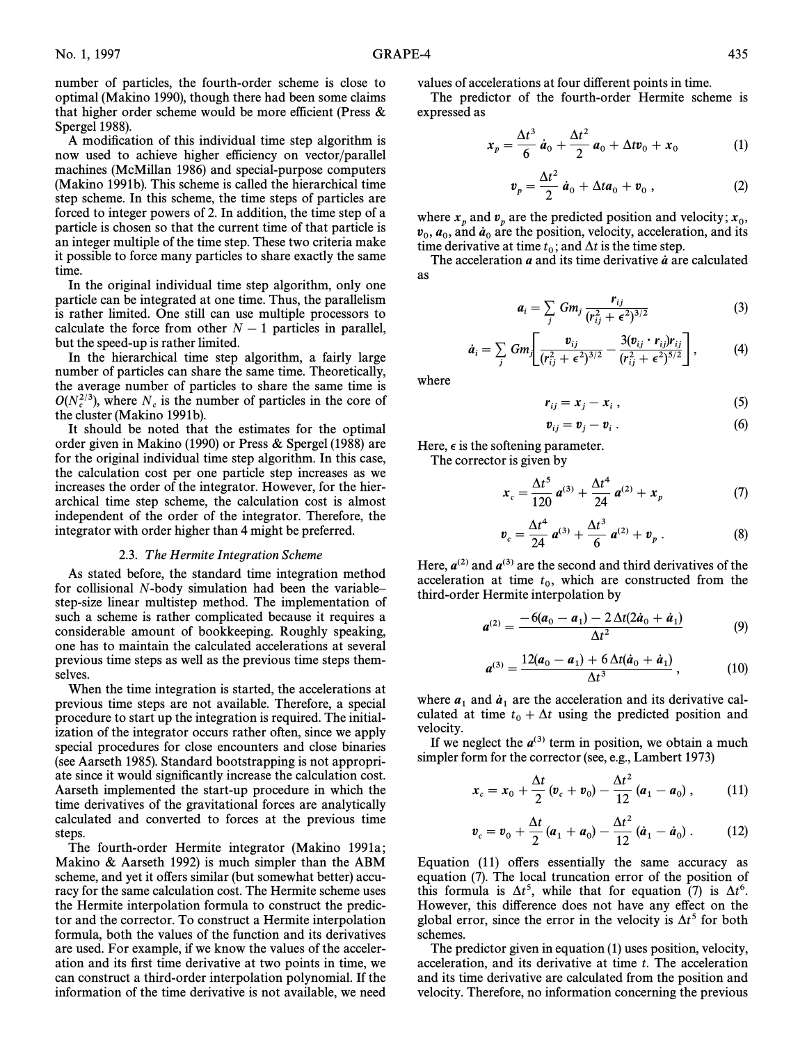number of particles, the fourth-order scheme is close to optimal (Makino 1990), though there had been some claims that higher order scheme would be more efficient (Press  $\&$ Spergel 1988).

A modification of this individual time step algorithm is now used to achieve higher efficiency on vector/parallel machines (McMillan 1986) and special-purpose computers (Makino 1991b). This scheme is called the hierarchical time step scheme. In this scheme, the time steps of particles are forced to integer powers of 2. In addition, the time step of a particle is chosen so that the current time of that particle is an integer multiple of the time step. These two criteria make it possible to force many particles to share exactly the same time.

In the original individual time step algorithm, only one particle can be integrated at one time. Thus, the parallelism is rather limited. One still can use multiple processors to calculate the force from other  $N - 1$  particles in parallel, but the speed-up is rather limited.

In the hierarchical time step algorithm, a fairly large number of particles can share the same time. Theoretically, the average number of particles to share the same time is  $O(N_c^{2/3})$ , where  $N_c$  is the number of particles in the core of the cluster (Makino 1991b).

It should be noted that the estimates for the optimal order given in Makino (1990) or Press  $\&$  Spergel (1988) are for the original individual time step algorithm. In this case, the calculation cost per one particle step increases as we increases the order of the integrator. However, for the hierarchical time step scheme, the calculation cost is almost independent of the order of the integrator. Therefore, the integrator with order higher than 4 might be preferred.

### 2.3. The Hermite Integration Scheme

As stated before, the standard time integration method for collisional  $N$ -body simulation had been the variable– step-size linear multistep method. The implementation of such a scheme is rather complicated because it requires a considerable amount of bookkeeping. Roughly speaking, one has to maintain the calculated accelerations at several previous time steps as well as the previous time steps themselves.

When the time integration is started, the accelerations at previous time steps are not available. Therefore, a special procedure to start up the integration is required. The initialization of the integrator occurs rather often, since we apply special procedures for close encounters and close binaries (see Aarseth 1985). Standard bootstrapping is not appropriate since it would significantly increase the calculation cost. Aarseth implemented the start-up procedure in which the time derivatives of the gravitational forces are analytically calculated and converted to forces at the previous time steps.

The fourth-order Hermite integrator (Makino 1991a; Makino  $\&$  Aarseth 1992) is much simpler than the ABM scheme, and yet it offers similar (but somewhat better) accuracy for the same calculation cost. The Hermite scheme uses the Hermite interpolation formula to construct the predictor and the corrector. To construct a Hermite interpolation formula, both the values of the function and its derivatives are used. For example, if we know the values of the acceleration and its first time derivative at two points in time, we can construct a third-order interpolation polynomial. If the information of the time derivative is not available, we need values of accelerations at four di†erent points in time.

The predictor of the fourth-order Hermite scheme is expressed as

$$
x_p = \frac{\Delta t^3}{6} \dot{a}_0 + \frac{\Delta t^2}{2} a_0 + \Delta t v_0 + x_0 \tag{1}
$$

$$
\boldsymbol{v}_p = \frac{\Delta t^2}{2} \dot{\boldsymbol{a}}_0 + \Delta t \boldsymbol{a}_0 + \boldsymbol{v}_0 , \qquad (2)
$$

where  $x_p$  and  $v_p$  are the predicted position and velocity;  $x_0$ ,<br> $y = a$ , and  $\dot{a}$ , are the position velocity acceleration, and its where  $x_p$  and  $v_p$  are the predicted position and velocity,  $x_0$ ,  $a_0$ ,  $a_0$ ,  $a_0$ ,  $a_0$  are the position, velocity, acceleration, and its time derivative at time  $t$  : and At is the time stan. time derivative at time  $t_0$ ; and  $\Delta t$  is the time step.<br>The acceleration a and its time step with  $\alpha$ .

The acceleration  $a$  and its time derivative  $\dot{a}$  are calculated as

$$
a_i = \sum_j Gm_j \frac{r_{ij}}{(r_{ij}^2 + \epsilon^2)^{3/2}}
$$
 (3)

$$
\dot{a}_i = \sum_j Gm_j \left[ \frac{v_{ij}}{(r_{ij}^2 + \epsilon^2)^{3/2}} - \frac{3(v_{ij} \cdot r_{ij})r_{ij}}{(r_{ij}^2 + \epsilon^2)^{5/2}} \right],
$$
 (4)

where

$$
r_{ij} = x_j - x_i , \qquad (5)
$$

$$
\boldsymbol{v}_{ij} = \boldsymbol{v}_j - \boldsymbol{v}_i \,. \tag{6}
$$

Here,  $\epsilon$  is the softening parameter.

The corrector is given by

$$
x_c = \frac{\Delta t^5}{120} a^{(3)} + \frac{\Delta t^4}{24} a^{(2)} + x_p \tag{7}
$$

$$
v_c = \frac{\Delta t^4}{24} a^{(3)} + \frac{\Delta t^3}{6} a^{(2)} + v_p . \qquad (8)
$$

Here,  $a^{(2)}$  and  $a^{(3)}$  are the second and third derivatives of the acceleration at time  $t_0$ , which are constructed from the  $\frac{1}{2}$  third-order Hermite interpolation by

$$
a^{(2)} = \frac{-6(a_0 - a_1) - 2 \Delta t (2\dot{a}_0 + \dot{a}_1)}{\Delta t^2} \tag{9}
$$

$$
a^{(3)} = \frac{12(a_0 - a_1) + 6 \Delta t (\dot{a}_0 + \dot{a}_1)}{\Delta t^3}, \qquad (10)
$$

where  $a_1$  and  $\dot{a}_1$  are the acceleration and its derivative cal-<br>culated at time  $t + \Delta t$  using the predicted position and where  $\mathbf{u}_1$  and  $\mathbf{u}_1$  are the acceleration and the centrality can<br>culated at time  $t_0 + \Delta t$  using the predicted position and velocity.

If we neglect the  $a^{(3)}$  term in position, we obtain a much simpler form for the corrector (see, e.g., Lambert 1973)

$$
x_c = x_0 + \frac{\Delta t}{2} (v_c + v_0) - \frac{\Delta t^2}{12} (a_1 - a_0) , \qquad (11)
$$

$$
\boldsymbol{v}_{c} = \boldsymbol{v}_{0} + \frac{\Delta t}{2} (\boldsymbol{a}_{1} + \boldsymbol{a}_{0}) - \frac{\Delta t^{2}}{12} (\dot{\boldsymbol{a}}_{1} - \dot{\boldsymbol{a}}_{0}). \qquad (12)
$$

Equation  $(11)$  offers essentially the same accuracy as equation (7). The local truncation error of the position of this formula is  $\Delta t^5$ , while that for equation (7) is  $\Delta t^6$ . However, this difference does not have any effect on the global error, since the error in the velocity is  $\Delta t^5$  for both schemes.

The predictor given in equation  $(1)$  uses position, velocity, acceleration, and its derivative at time t. The acceleration and its time derivative are calculated from the position and velocity. Therefore, no information concerning the previous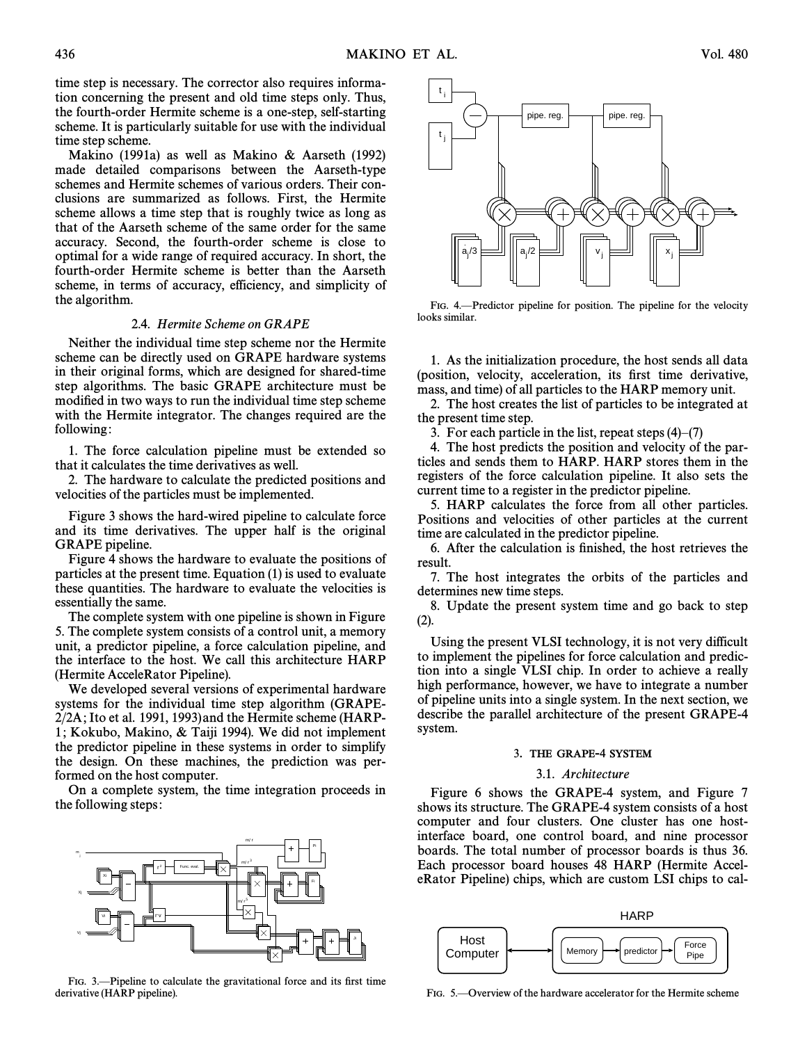time step is necessary. The corrector also requires information concerning the present and old time steps only. Thus, the fourth-order Hermite scheme is a one-step, self-starting scheme. It is particularly suitable for use with the individual time step scheme.

Makino (1991a) as well as Makino & Aarseth (1992) made detailed comparisons between the Aarseth-type schemes and Hermite schemes of various orders. Their conclusions are summarized as follows. First, the Hermite scheme allows a time step that is roughly twice as long as that of the Aarseth scheme of the same order for the same accuracy. Second, the fourth-order scheme is close to optimal for a wide range of required accuracy. In short, the fourth-order Hermite scheme is better than the Aarseth scheme, in terms of accuracy, efficiency, and simplicity of the algorithm.

## 2.4. Hermite Scheme on GRAPE

Neither the individual time step scheme nor the Hermite scheme can be directly used on GRAPE hardware systems in their original forms, which are designed for shared-time step algorithms. The basic GRAPE architecture must be modified in two ways to run the individual time step scheme with the Hermite integrator. The changes required are the following:

1. The force calculation pipeline must be extended so that it calculates the time derivatives as well.

2. The hardware to calculate the predicted positions and velocities of the particles must be implemented.

Figure 3 shows the hard-wired pipeline to calculate force and its time derivatives. The upper half is the original GRAPE pipeline.

Figure 4 shows the hardware to evaluate the positions of particles at the present time. Equation  $(1)$  is used to evaluate these quantities. The hardware to evaluate the velocities is essentially the same.

The complete system with one pipeline is shown in Figure 5. The complete system consists of a control unit, a memory unit, a predictor pipeline, a force calculation pipeline, and the interface to the host. We call this architecture HARP (Hermite AcceleRator Pipeline).

We developed several versions of experimental hardware systems for the individual time step algorithm (GRAPE- $2/2A$ ; Ito et al. 1991, 1993) and the Hermite scheme (HARP-1; Kokubo, Makino,  $\&$  Taiji 1994). We did not implement the predictor pipeline in these systems in order to simplify the design. On these machines, the prediction was performed on the host computer.

On a complete system, the time integration proceeds in the following steps:



FIG. 3.—Pipeline to calculate the gravitational force and its first time derivative (HARP pipeline).



FIG. 4.—Predictor pipeline for position. The pipeline for the velocity looks similar.

1. As the initialization procedure, the host sends all data (position, velocity, acceleration, its first time derivative, mass, and time) of all particles to the HARP memory unit.

2. The host creates the list of particles to be integrated at the present time step.

3. For each particle in the list, repeat steps  $(4)$ – $(7)$ 

4. The host predicts the position and velocity of the particles and sends them to HARP. HARP stores them in the registers of the force calculation pipeline. It also sets the current time to a register in the predictor pipeline.

5. HARP calculates the force from all other particles. Positions and velocities of other particles at the current time are calculated in the predictor pipeline.

6. After the calculation is finished, the host retrieves the result.

7. The host integrates the orbits of the particles and determines new time steps.

8. Update the present system time and go back to step (2).

Using the present VLSI technology, it is not very difficult to implement the pipelines for force calculation and prediction into a single VLSI chip. In order to achieve a really high performance, however, we have to integrate a number of pipeline units into a single system. In the next section, we describe the parallel architecture of the present GRAPE-4 system.

#### 3. THE GRAPE-4 SYSTEM

#### 3.1. Architecture

Figure 6 shows the GRAPE-4 system, and Figure 7 shows its structure. The GRAPE-4 system consists of a host computer and four clusters. One cluster has one hostinterface board, one control board, and nine processor boards. The total number of processor boards is thus 36. Each processor board houses 48 HARP (Hermite AcceleRator Pipeline) chips, which are custom LSI chips to cal-



FIG. 5.—Overview of the hardware accelerator for the Hermite scheme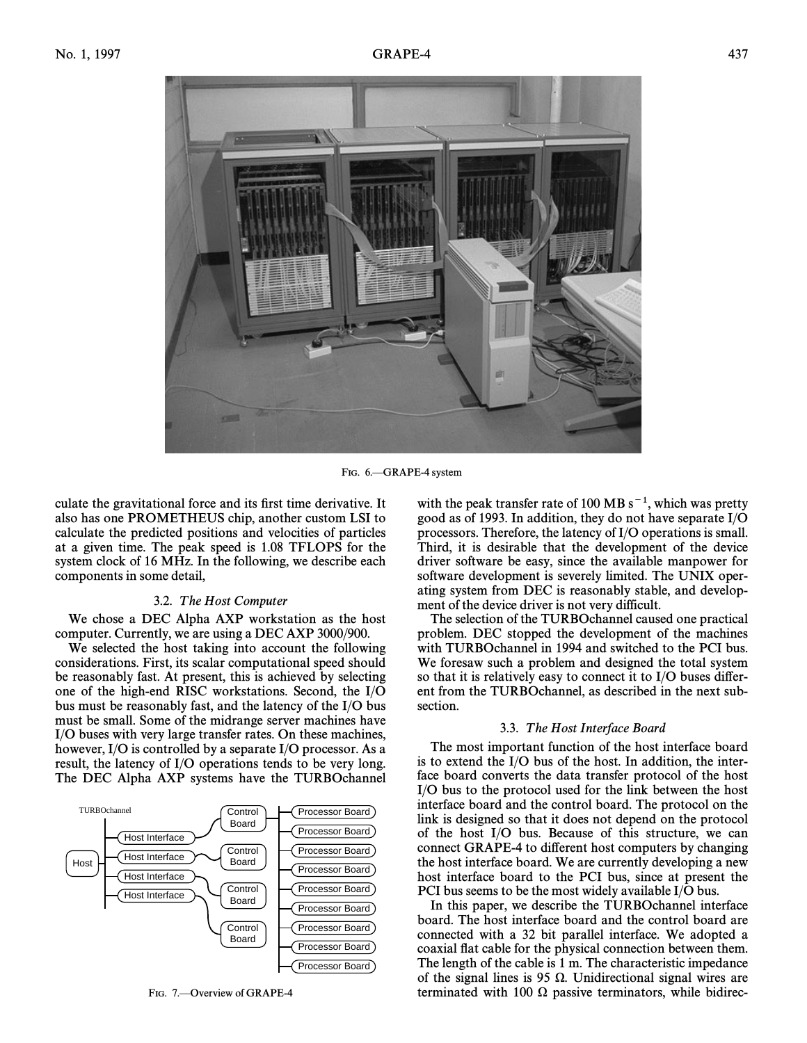

FIG. 6. GRAPE-4 system

culate the gravitational force and its first time derivative. It also has one PROMETHEUS chip, another custom LSI to calculate the predicted positions and velocities of particles at a given time. The peak speed is 1.08 TFLOPS for the system clock of 16 MHz. In the following, we describe each components in some detail,

## 3.2. The Host Computer

We chose a DEC Alpha AXP workstation as the host computer. Currently, we are using a DEC AXP 3000/900.

We selected the host taking into account the following considerations. First, its scalar computational speed should be reasonably fast. At present, this is achieved by selecting one of the high-end RISC workstations. Second, the I/O bus must be reasonably fast, and the latency of the I/O bus must be small. Some of the midrange server machines have I/O buses with very large transfer rates. On these machines, however, I/O is controlled by a separate I/O processor. As a result, the latency of I/O operations tends to be very long. The DEC Alpha AXP systems have the TURBOchannel



FIG. 7.—Overview of GRAPE-4

with the peak transfer rate of 100 MB  $s^{-1}$ , which was pretty good as of 1993. In addition, they do not have separate I/O processors. Therefore, the latency of I/O operations is small. Third, it is desirable that the development of the device driver software be easy, since the available manpower for software development is severely limited. The UNIX operating system from DEC is reasonably stable, and development of the device driver is not very difficult.

The selection of the TURBOchannel caused one practical problem. DEC stopped the development of the machines with TURBOchannel in 1994 and switched to the PCI bus. We foresaw such a problem and designed the total system so that it is relatively easy to connect it to  $I/O$  buses different from the TURBOchannel, as described in the next subsection.

#### 3.3. T he Host Interface Board

The most important function of the host interface board is to extend the I/O bus of the host. In addition, the interface board converts the data transfer protocol of the host I/O bus to the protocol used for the link between the host interface board and the control board. The protocol on the link is designed so that it does not depend on the protocol of the host I/O bus. Because of this structure, we can connect GRAPE-4 to different host computers by changing the host interface board. We are currently developing a new host interface board to the PCI bus, since at present the PCI bus seems to be the most widely available I/O bus.

In this paper, we describe the TURBOchannel interface board. The host interface board and the control board are connected with a 32 bit parallel interface. We adopted a coaxial Ñat cable for the physical connection between them. The length of the cable is 1 m. The characteristic impedance of the signal lines is 95  $\Omega$ . Unidirectional signal wires are terminated with 100  $\Omega$  passive terminators, while bidirec-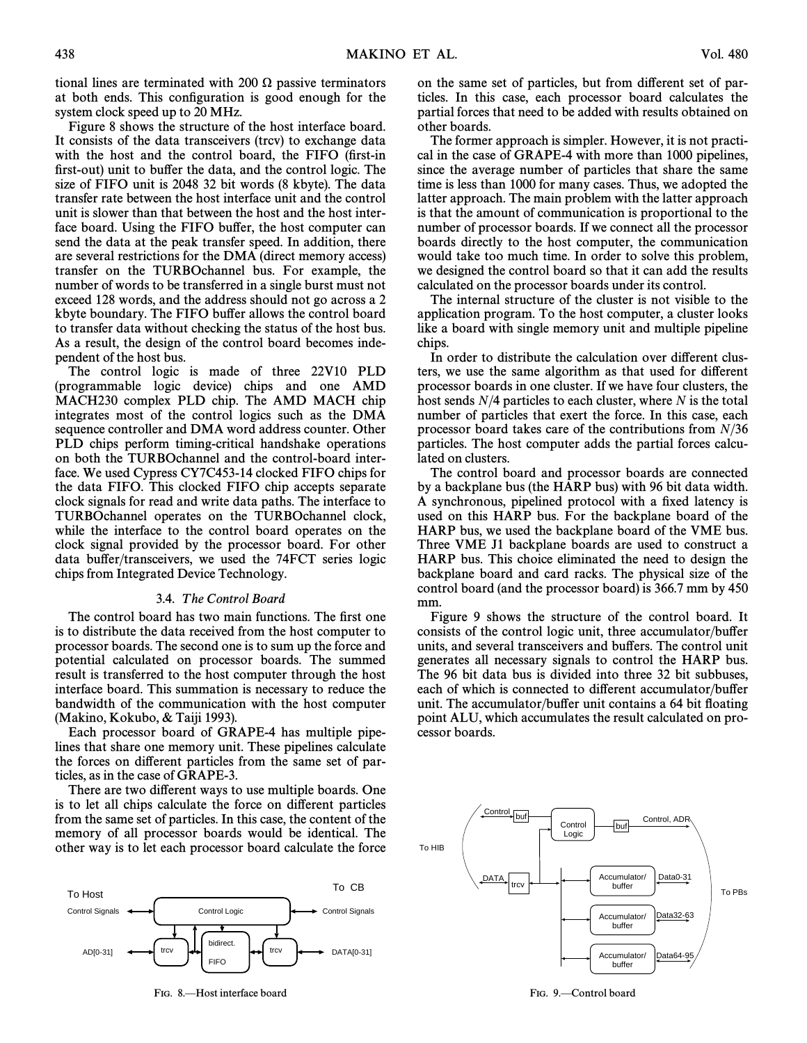tional lines are terminated with 200  $\Omega$  passive terminators at both ends. This configuration is good enough for the system clock speed up to 20 MHz.

Figure 8 shows the structure of the host interface board. It consists of the data transceivers (trcv) to exchange data with the host and the control board, the FIFO (first-in first-out) unit to buffer the data, and the control logic. The size of FIFO unit is 2048 32 bit words (8 kbyte). The data transfer rate between the host interface unit and the control unit is slower than that between the host and the host interface board. Using the FIFO buffer, the host computer can send the data at the peak transfer speed. In addition, there are several restrictions for the DMA (direct memory access) transfer on the TURBOchannel bus. For example, the number of words to be transferred in a single burst must not exceed 128 words, and the address should not go across a 2 kbyte boundary. The FIFO buffer allows the control board to transfer data without checking the status of the host bus. As a result, the design of the control board becomes independent of the host bus.

The control logic is made of three 22V10 PLD (programmable logic device) chips and one AMD MACH230 complex PLD chip. The AMD MACH chip integrates most of the control logics such as the DMA sequence controller and DMA word address counter. Other PLD chips perform timing-critical handshake operations on both the TURBOchannel and the control-board interface. We used Cypress CY7C453-14 clocked FIFO chips for the data FIFO. This clocked FIFO chip accepts separate clock signals for read and write data paths. The interface to TURBOchannel operates on the TURBOchannel clock, while the interface to the control board operates on the clock signal provided by the processor board. For other data buffer/transceivers, we used the 74FCT series logic chips from Integrated Device Technology.

# 3.4. The Control Board

The control board has two main functions. The first one is to distribute the data received from the host computer to processor boards. The second one is to sum up the force and potential calculated on processor boards. The summed result is transferred to the host computer through the host interface board. This summation is necessary to reduce the bandwidth of the communication with the host computer (Makino, Kokubo, & Taiji 1993).

Each processor board of GRAPE-4 has multiple pipelines that share one memory unit. These pipelines calculate the forces on different particles from the same set of particles, as in the case of GRAPE-3.

There are two different ways to use multiple boards. One is to let all chips calculate the force on different particles from the same set of particles. In this case, the content of the memory of all processor boards would be identical. The other way is to let each processor board calculate the force



FIG. 8.-Host interface board

on the same set of particles, but from different set of particles. In this case, each processor board calculates the partial forces that need to be added with results obtained on other boards.

The former approach is simpler. However, it is not practical in the case of GRAPE-4 with more than 1000 pipelines, since the average number of particles that share the same time is less than 1000 for many cases. Thus, we adopted the latter approach. The main problem with the latter approach is that the amount of communication is proportional to the number of processor boards. If we connect all the processor boards directly to the host computer, the communication would take too much time. In order to solve this problem, we designed the control board so that it can add the results calculated on the processor boards under its control.

The internal structure of the cluster is not visible to the application program. To the host computer, a cluster looks like a board with single memory unit and multiple pipeline chips.

In order to distribute the calculation over different clusters, we use the same algorithm as that used for di†erent processor boards in one cluster. If we have four clusters, the host sends  $N/4$  particles to each cluster, where N is the total number of particles that exert the force. In this case, each processor board takes care of the contributions from  $N/36$ particles. The host computer adds the partial forces calculated on clusters.

The control board and processor boards are connected by a backplane bus (the HARP bus) with 96 bit data width. A synchronous, pipelined protocol with a fixed latency is used on this HARP bus. For the backplane board of the HARP bus, we used the backplane board of the VME bus. Three VME J1 backplane boards are used to construct a HARP bus. This choice eliminated the need to design the backplane board and card racks. The physical size of the control board (and the processor board) is 366.7 mm by 450 mm.

Figure 9 shows the structure of the control board. It consists of the control logic unit, three accumulator/bu†er units, and several transceivers and buffers. The control unit generates all necessary signals to control the HARP bus. The 96 bit data bus is divided into three 32 bit subbuses, each of which is connected to different accumulator/buffer unit. The accumulator/buffer unit contains a 64 bit floating point ALU, which accumulates the result calculated on processor boards.



FIG. 9.-Control board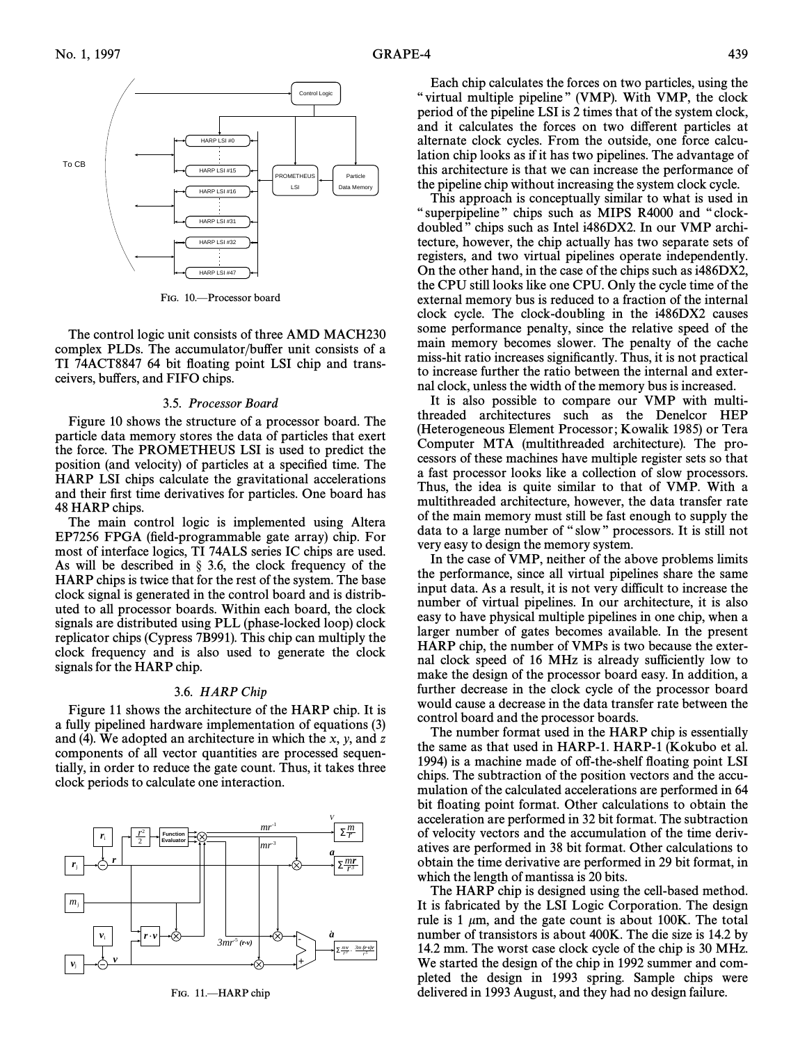

FIG. 10.<sup>-</sup>Processor board

The control logic unit consists of three AMD MACH230 complex PLDs. The accumulator/buffer unit consists of a TI 74ACT8847 64 bit floating point LSI chip and transceivers, buffers, and FIFO chips.

### 3.5. Processor Board

Figure 10 shows the structure of a processor board. The particle data memory stores the data of particles that exert the force. The PROMETHEUS LSI is used to predict the position (and velocity) of particles at a specified time. The HARP LSI chips calculate the gravitational accelerations and their first time derivatives for particles. One board has 48 HARP chips.

The main control logic is implemented using Altera EP7256 FPGA (field-programmable gate array) chip. For most of interface logics, TI 74ALS series IC chips are used. As will be described in  $\S$  3.6, the clock frequency of the HARP chips is twice that for the rest of the system. The base clock signal is generated in the control board and is distributed to all processor boards. Within each board, the clock signals are distributed using PLL (phase-locked loop) clock replicator chips (Cypress 7B991). This chip can multiply the clock frequency and is also used to generate the clock signals for the HARP chip.

#### 3.6. HARP Chip

Figure 11 shows the architecture of the HARP chip. It is a fully pipelined hardware implementation of equations (3) and (4). We adopted an architecture in which the  $x$ ,  $y$ , and z components of all vector quantities are processed sequentially, in order to reduce the gate count. Thus, it takes three clock periods to calculate one interaction.



FIG. 11.-HARP chip

Each chip calculates the forces on two particles, using the " virtual multiple pipeline" (VMP). With VMP, the clock period of the pipeline LSI is 2 times that of the system clock, and it calculates the forces on two different particles at alternate clock cycles. From the outside, one force calculation chip looks as if it has two pipelines. The advantage of this architecture is that we can increase the performance of the pipeline chip without increasing the system clock cycle.

This approach is conceptually similar to what is used in " superpipeline" chips such as MIPS R4000 and "clockdoubled" chips such as Intel i486DX2. In our VMP architecture, however, the chip actually has two separate sets of registers, and two virtual pipelines operate independently. On the other hand, in the case of the chips such as i486DX2, the CPU still looks like one CPU. Only the cycle time of the external memory bus is reduced to a fraction of the internal clock cycle. The clock-doubling in the i486DX2 causes some performance penalty, since the relative speed of the main memory becomes slower. The penalty of the cache miss-hit ratio increases significantly. Thus, it is not practical to increase further the ratio between the internal and external clock, unless the width of the memory bus is increased.

It is also possible to compare our VMP with multithreaded architectures such as the Denelcor HEP (Heterogeneous Element Processor; Kowalik 1985) or Tera Computer MTA (multithreaded architecture). The processors of these machines have multiple register sets so that a fast processor looks like a collection of slow processors. Thus, the idea is quite similar to that of VMP. With a multithreaded architecture, however, the data transfer rate of the main memory must still be fast enough to supply the data to a large number of "slow" processors. It is still not very easy to design the memory system.

In the case of VMP, neither of the above problems limits the performance, since all virtual pipelines share the same input data. As a result, it is not very difficult to increase the number of virtual pipelines. In our architecture, it is also easy to have physical multiple pipelines in one chip, when a larger number of gates becomes available. In the present HARP chip, the number of VMPs is two because the external clock speed of 16 MHz is already sufficiently low to make the design of the processor board easy. In addition, a further decrease in the clock cycle of the processor board would cause a decrease in the data transfer rate between the control board and the processor boards.

The number format used in the HARP chip is essentially the same as that used in  $HARP-1$ .  $HARP-1$  (Kokubo et al. 1994) is a machine made of off-the-shelf floating point LSI chips. The subtraction of the position vectors and the accumulation of the calculated accelerations are performed in 64 bit floating point format. Other calculations to obtain the acceleration are performed in 32 bit format. The subtraction of velocity vectors and the accumulation of the time derivatives are performed in 38 bit format. Other calculations to obtain the time derivative are performed in 29 bit format, in which the length of mantissa is 20 bits.

The HARP chip is designed using the cell-based method. It is fabricated by the LSI Logic Corporation. The design rule is 1  $\mu$ m, and the gate count is about 100K. The total number of transistors is about 400K. The die size is 14.2 by 14.2 mm. The worst case clock cycle of the chip is 30 MHz. We started the design of the chip in 1992 summer and completed the design in 1993 spring. Sample chips were delivered in 1993 August, and they had no design failure.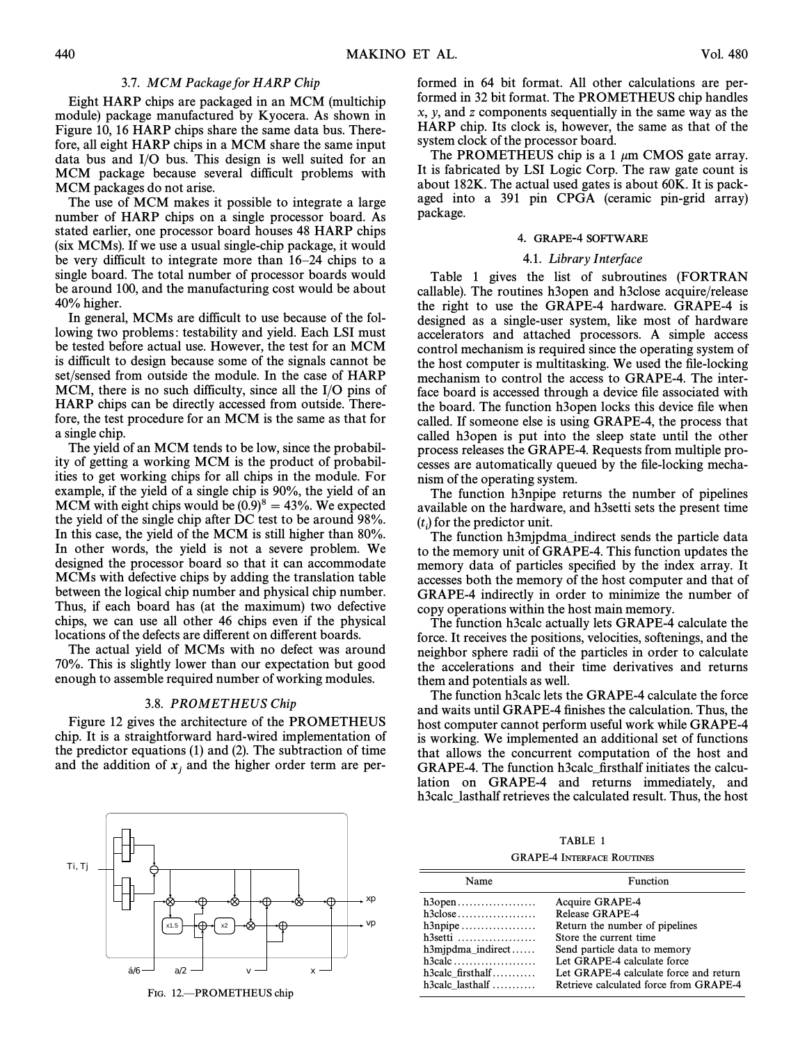## 3.7. MCM Package for HARP Chip

Eight HARP chips are packaged in an MCM (multichip module) package manufactured by Kyocera. As shown in Figure 10, 16 HARP chips share the same data bus. Therefore, all eight HARP chips in a MCM share the same input data bus and I/O bus. This design is well suited for an MCM package because several difficult problems with MCM packages do not arise.

The use of MCM makes it possible to integrate a large number of HARP chips on a single processor board. As stated earlier, one processor board houses 48 HARP chips (six MCMs). If we use a usual single-chip package, it would be very difficult to integrate more than  $16-24$  chips to a single board. The total number of processor boards would be around 100, and the manufacturing cost would be about 40% higher.

In general, MCMs are difficult to use because of the following two problems: testability and yield. Each LSI must be tested before actual use. However, the test for an MCM is difficult to design because some of the signals cannot be set/sensed from outside the module. In the case of HARP MCM, there is no such difficulty, since all the I/O pins of HARP chips can be directly accessed from outside. Therefore, the test procedure for an MCM is the same as that for a single chip.

The yield of an MCM tends to be low, since the probability of getting a working MCM is the product of probabilities to get working chips for all chips in the module. For example, if the yield of a single chip is 90%, the yield of an MCM with eight chips would be  $(0.9)^8 = 43\%$ . We expected the yield of the single chip after DC test to be around 98%. In this case, the yield of the MCM is still higher than 80%. In other words, the yield is not a severe problem. We designed the processor board so that it can accommodate MCMs with defective chips by adding the translation table between the logical chip number and physical chip number. Thus, if each board has (at the maximum) two defective chips, we can use all other 46 chips even if the physical locations of the defects are different on different boards.

The actual yield of MCMs with no defect was around 70%. This is slightly lower than our expectation but good enough to assemble required number of working modules.

#### 3.8. PROMET HEUS Chip

Figure 12 gives the architecture of the PROMETHEUS chip. It is a straightforward hard-wired implementation of the predictor equations  $(1)$  and  $(2)$ . The subtraction of time and the addition of  $x_j$  and the higher order term are per-



FIG. 12.-PROMETHEUS chip

formed in 64 bit format. All other calculations are performed in 32 bit format. The PROMETHEUS chip handles x, y, and z components sequentially in the same way as the HARP chip. Its clock is, however, the same as that of the system clock of the processor board.

The PROMETHEUS chip is a 1  $\mu$ m CMOS gate array. It is fabricated by LSI Logic Corp. The raw gate count is about 182K. The actual used gates is about 60K. It is packaged into a 391 pin CPGA (ceramic pin-grid array) package.

#### 4. GRAPE-4 SOFTWARE

#### 4.1. Library Interface

Table 1 gives the list of subroutines (FORTRAN callable). The routines h3open and h3close acquire/release the right to use the GRAPE-4 hardware. GRAPE-4 is designed as a single-user system, like most of hardware accelerators and attached processors. A simple access control mechanism is required since the operating system of the host computer is multitasking. We used the file-locking mechanism to control the access to GRAPE-4. The interface board is accessed through a device file associated with the board. The function h3open locks this device file when called. If someone else is using GRAPE-4, the process that called h3open is put into the sleep state until the other process releases the GRAPE-4. Requests from multiple processes are automatically queued by the file-locking mechanism of the operating system.

The function h3npipe returns the number of pipelines available on the hardware, and h3setti sets the present time  $(t_i)$  for the predictor unit.<br>The function h3minds

The function h3mjpdma–indirect sends the particle data to the memory unit of GRAPE-4. This function updates the memory data of particles specified by the index array. It accesses both the memory of the host computer and that of GRAPE-4 indirectly in order to minimize the number of copy operations within the host main memory.

The function h3calc actually lets GRAPE-4 calculate the force. It receives the positions, velocities, softenings, and the neighbor sphere radii of the particles in order to calculate the accelerations and their time derivatives and returns them and potentials as well.

The function h3calc lets the GRAPE-4 calculate the force and waits until GRAPE-4 finishes the calculation. Thus, the host computer cannot perform useful work while GRAPE-4 is working. We implemented an additional set of functions that allows the concurrent computation of the host and GRAPE-4. The function h3calc\_firsthalf initiates the calculation on GRAPE-4 and returns immediately, and h3calc–lasthalf retrieves the calculated result. Thus, the host

GRAPE-4 INTERFACE ROUTINES

| Name                                            | Function                               |
|-------------------------------------------------|----------------------------------------|
| $h3$ open $\dots\dots\dots\dots\dots\dots\dots$ | <b>Acquire GRAPE-4</b>                 |
| $h3close \ldots \ldots \ldots \ldots \ldots$    | Release GRAPE-4                        |
| $h3npipe \ldots \ldots \ldots \ldots \ldots$    | Return the number of pipelines         |
| $h3$ setti                                      | Store the current time                 |
| $h3mipdma$ indirect                             | Send particle data to memory           |
|                                                 | Let GRAPE-4 calculate force            |
| $h3$ calc firsthalf                             | Let GRAPE-4 calculate force and return |
| $h3calc$ last half                              | Retrieve calculated force from GRAPE-4 |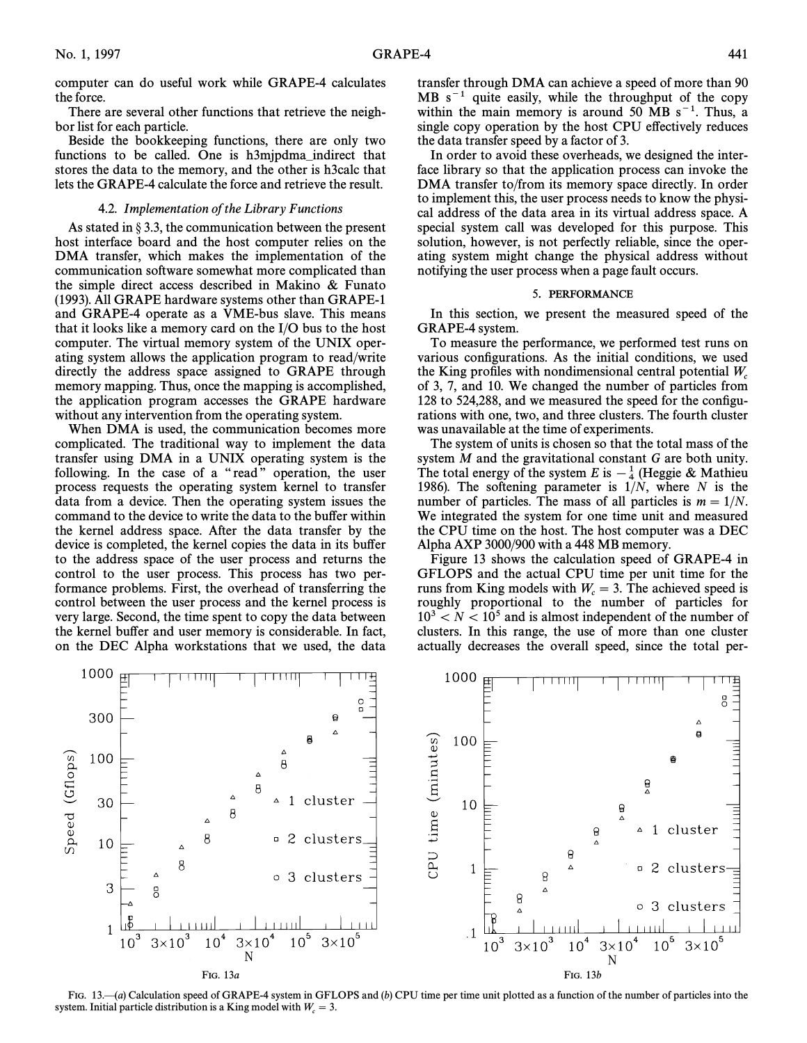computer can do useful work while GRAPE-4 calculates the force.

There are several other functions that retrieve the neighbor list for each particle.

Beside the bookkeeping functions, there are only two functions to be called. One is h3mjpdma–indirect that stores the data to the memory, and the other is h3calc that lets the GRAPE-4 calculate the force and retrieve the result.

# 4.2. Implementation of the Library Functions

As stated in  $\S 3.3$ , the communication between the present host interface board and the host computer relies on the DMA transfer, which makes the implementation of the communication software somewhat more complicated than the simple direct access described in Makino  $\&$  Funato (1993). All GRAPE hardware systems other than GRAPE-1 and GRAPE-4 operate as a VME-bus slave. This means that it looks like a memory card on the I/O bus to the host computer. The virtual memory system of the UNIX operating system allows the application program to read/write directly the address space assigned to GRAPE through memory mapping. Thus, once the mapping is accomplished, the application program accesses the GRAPE hardware without any intervention from the operating system.

When DMA is used, the communication becomes more complicated. The traditional way to implement the data transfer using DMA in a UNIX operating system is the following. In the case of a "read" operation, the user process requests the operating system kernel to transfer data from a device. Then the operating system issues the command to the device to write the data to the buffer within the kernel address space. After the data transfer by the device is completed, the kernel copies the data in its bu†er to the address space of the user process and returns the control to the user process. This process has two performance problems. First, the overhead of transferring the control between the user process and the kernel process is very large. Second, the time spent to copy the data between the kernel buffer and user memory is considerable. In fact, on the DEC Alpha workstations that we used, the data transfer through DMA can achieve a speed of more than 90  $MB s<sup>-1</sup>$  quite easily, while the throughput of the copy within the main memory is around 50 MB  $s^{-1}$ . Thus, a single copy operation by the host CPU effectively reduces the data transfer speed by a factor of 3.

In order to avoid these overheads, we designed the interface library so that the application process can invoke the DMA transfer to/from its memory space directly. In order to implement this, the user process needs to know the physical address of the data area in its virtual address space. A special system call was developed for this purpose. This solution, however, is not perfectly reliable, since the operating system might change the physical address without notifying the user process when a page fault occurs.

# 5. PERFORMANCE

In this section, we present the measured speed of the GRAPE-4 system.

To measure the performance, we performed test runs on various configurations. As the initial conditions, we used the King profiles with nondimensional central potential  $W$ . of 3, 7, and 10. We changed the number of particles from 128 to 524,288, and we measured the speed for the configurations with one, two, and three clusters. The fourth cluster was unavailable at the time of experiments.

The system of units is chosen so that the total mass of the system M and the gravitational constant G are both unity. The total energy of the system E is  $-\frac{1}{4}$  (Heggie & Mathieu [1986] The softening parameter is  $1/N$  where N is the 1986). The softening parameter is  $1/N$ , where N is the number of particles. The mass of all particles is  $m = 1/N$ . We integrated the system for one time unit and measured the CPU time on the host. The host computer was a DEC Alpha AXP 3000/900 with a 448 MB memory.

Figure 13 shows the calculation speed of GRAPE-4 in GFLOPS and the actual CPU time per unit time for the runs from King models with  $W_c = 3$ . The achieved speed is roughly proportional, to the number of particles for roughly proportional to the number of particles for  $10^3 < N < 10^5$  and is almost independent of the number of clusters. In this range, the use of more than one cluster actually decreases the overall speed, since the total per-



FIG. 13.—(a) Calculation speed of GRAPE-4 system in GFLOPS and  $(b)$  CPU time per time unit plotted as a function of the number of particles into the system. Initial particle distribution is a King model with  $W_c = 3$ .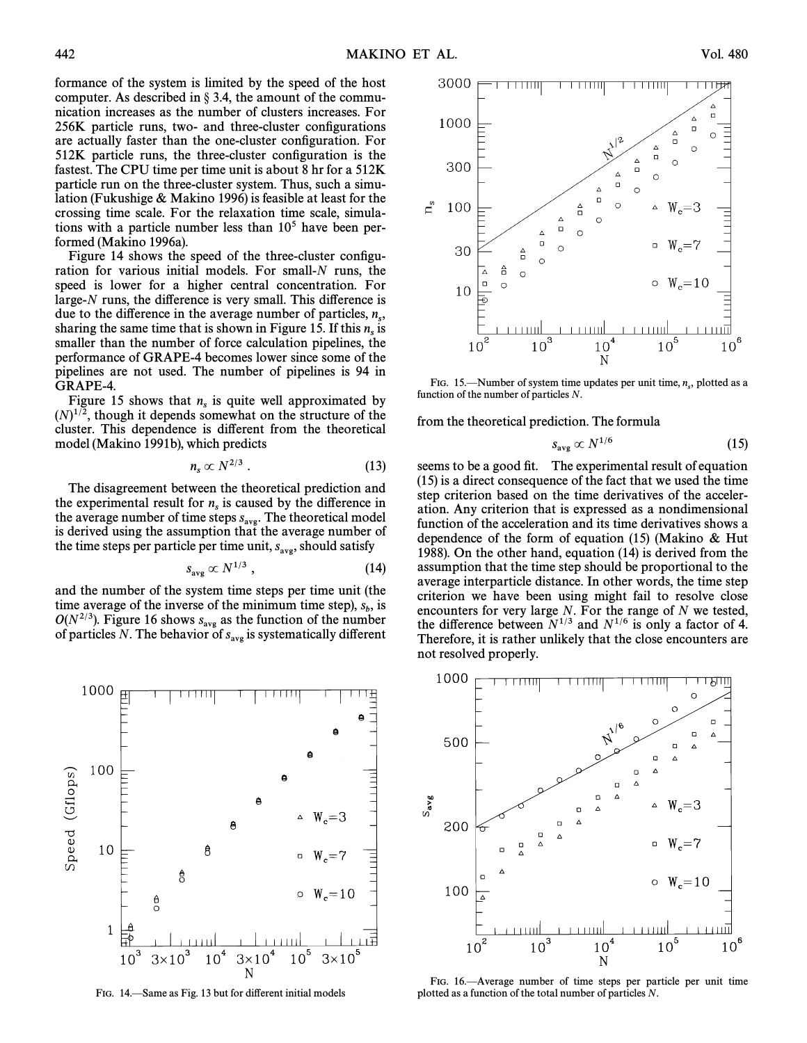formance of the system is limited by the speed of the host computer. As described in  $\S 3.4$ , the amount of the communication increases as the number of clusters increases. For 256K particle runs, two- and three-cluster configurations are actually faster than the one-cluster configuration. For 512K particle runs, the three-cluster configuration is the fastest. The CPU time per time unit is about 8 hr for a 512K particle run on the three-cluster system. Thus, such a simulation (Fukushige  $&$  Makino 1996) is feasible at least for the crossing time scale. For the relaxation time scale, simulations with a particle number less than  $10<sup>5</sup>$  have been performed (Makino 1996a).

Figure 14 shows the speed of the three-cluster configuration for various initial models. For small-N runs, the speed is lower for a higher central concentration. For large- $N$  runs, the difference is very small. This difference is due to the difference in the average number of particles,  $n_s$ , sharing the same time that is shown in Figure 15. If this  $n_s$  is smaller than the number of force calculation pipelines, the performance of GRAPE-4 becomes lower since some of the pipelines are not used. The number of pipelines is 94 in GRAPE-4.

Figure 15 shows that  $n<sub>s</sub>$  is quite well approximated by  $(N)^{1/2}$ , though it depends somewhat on the structure of the cluster. This dependence is different from the theoretical model (Makino 1991b), which predicts

$$
n_s \propto N^{2/3} \ . \tag{13}
$$

The disagreement between the theoretical prediction and the experimental result for  $n<sub>s</sub>$  is caused by the difference in s the average number of time steps  $s_{\text{avg}}$ . The theoretical model<br>is derived using the assumption that the average number of is derived using the assumption that the average number of the time steps per particle per time unit,  $s_{\text{avg}}$ , should satisfy

$$
s_{\text{avg}} \propto N^{1/3} \,, \tag{14}
$$

and the number of the system time steps per time unit (the time average of the inverse of the minimum time step),  $s<sub>b</sub>$ , is  $O(N^{2/3})$ . Figure 16 shows  $s_{\text{avg}}$  as the function of the number  $\sigma(x)$ ,  $\mu$ ,  $\sigma$  is such a value of  $s_{avg}$  as the function of the number of particles N. The behavior of  $s_{avg}$  is systematically different



FIG. 14. Same as Fig. 13 but for different initial models



FIG. 15.—Number of system time updates per unit time,  $n_s$ , plotted as a nettion of the number of particles  $N_s$ function of the number of particles N.

from the theoretical prediction. The formula

$$
s_{\text{avg}} \propto N^{1/6} \tag{15}
$$

seems to be a good fit. The experimental result of equation (15) is a direct consequence of the fact that we used the time step criterion based on the time derivatives of the acceleration. Any criterion that is expressed as a nondimensional function of the acceleration and its time derivatives shows a dependence of the form of equation (15) (Makino  $\&$  Hut 1988). On the other hand, equation  $(14)$  is derived from the assumption that the time step should be proportional to the average interparticle distance. In other words, the time step criterion we have been using might fail to resolve close encounters for very large N. For the range of N we tested, the difference between  $N^{1/3}$  and  $N^{1/6}$  is only a factor of 4. Therefore, it is rather unlikely that the close encounters are not resolved properly.



FIG. 16.-Average number of time steps per particle per unit time plotted as a function of the total number of particles N.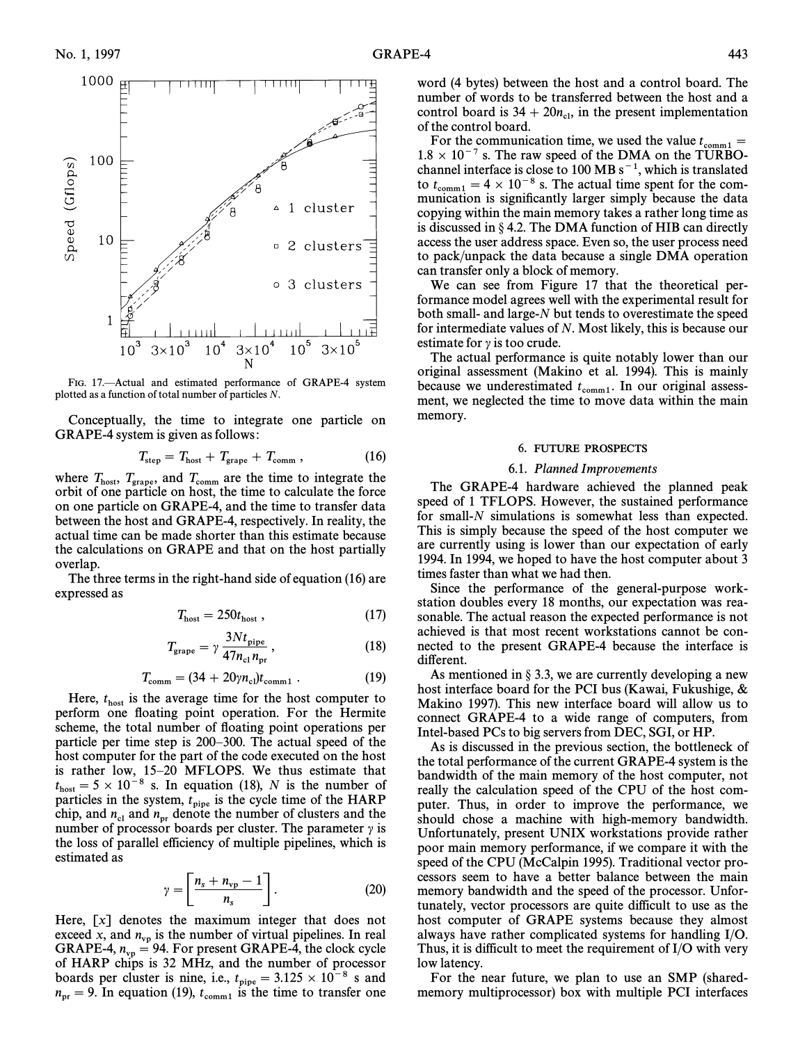

FIG. 17.-Actual and estimated performance of GRAPE-4 system plotted as a function of total number of particles N.

Conceptually, the time to integrate one particle on GRAPE-4 system is given as follows:

$$
T_{\text{step}} = T_{\text{host}} + T_{\text{grape}} + T_{\text{comm}} , \qquad (16)
$$

where  $T_{\text{host}}$ ,  $T_{\text{grape}}$ , and  $T_{\text{comm}}$  are the time to integrate the orbit of one particle on bost, the time to calculate the force orbit of one particle on host, the time to calculate the force on one particle on GRAPE-4, and the time to transfer data between the host and GRAPE-4, respectively. In reality, the actual time can be made shorter than this estimate because the calculations on GRAPE and that on the host partially overlap.

The three terms in the right-hand side of equation  $(16)$  are expressed as

$$
T_{\text{host}} = 250t_{\text{host}} \,, \tag{17}
$$

$$
T_{\text{grape}} = \gamma \, \frac{3N t_{\text{pipe}}}{47 n_{\text{cl}} n_{\text{pr}}},\tag{18}
$$

$$
T_{\text{comm}} = (34 + 20\gamma n_{\text{cl}}) t_{\text{comm1}} . \tag{19}
$$

Here,  $t_{\text{host}}$  is the average time for the host computer to perform one floating point operation. For the Hermite scheme, the total number of floating point operations per particle per time step is 200–300. The actual speed of the host computer for the part of the code executed on the host is rather low, 15–20 MFLOPS. We thus estimate that  $t_{\text{host}} = 5 \times 10^{-8}$  s. In equation (18), N is the number of host idea in the system to host is the cycle time of the HAPP particles in the system,  $t_{\text{pipe}}$  is the cycle time of the HARP particles in the system,  $v_{\text{pipe}}$  is the cycle time of the number of clusters and the<br>number of processor boards per cluster The parameter  $y_i$  is number of processor boards per cluster. The parameter  $\gamma$  is the loss of parallel efficiency of multiple pipelines, which is estimated as

$$
\gamma = \left[ \frac{n_s + n_{\rm vp} - 1}{n_s} \right]. \tag{20}
$$

Here, [x] denotes the maximum integer that does not exceed x, and  $n_{vp}$  is the number of virtual pipelines. In real vacced x, and  $n_{vp} = 94$ . For present GRAPE-4, the clock cycle<br>GRAPE-4,  $n_{vp} = 94$ . For present GRAPE-4, the clock cycle of HARP chips is 32 MHz, and the number of processor boards per cluster is nine, i.e.,  $t_{\text{pipe}} = 3.125 \times 10^{-8}$  s and  $r = 9$ . In equation (10) the time to transfer one  $n_{\text{pr}} = 9$ . In equation (19),  $t_{\text{comm1}}$  is the time to transfer one

word (4 bytes) between the host and a control board. The number of words to be transferred between the host and a control board is  $34 + 20n_{\text{cl}}$ , in the present implementation<br>of the control board of the control board.

For the communication time, we used the value  $t_{\text{comm}} =$ <br> $R \times 10^{-7}$  s. The raw speed of the DMA on the TURBO- $1.8 \times 10^{-7}$  s. The raw speed of the DMA on the TURBOchannel interface is close to 100 MB  $s^{-1}$ , which is translated to  $t_{\text{comm}} = 4 \times 10^{-8}$  s. The actual time spent for the com-<br>munication is significantly larger simply because the data munication is significantly larger simply because the data copying within the main memory takes a rather long time as is discussed in  $\S$  4.2. The DMA function of HIB can directly access the user address space. Even so, the user process need to pack/unpack the data because a single DMA operation can transfer only a block of memory.

We can see from Figure 17 that the theoretical performance model agrees well with the experimental result for both small- and large-N but tends to overestimate the speed for intermediate values of N. Most likely, this is because our estimate for  $\gamma$  is too crude.

The actual performance is quite notably lower than our original assessment (Makino et al. 1994). This is mainly because we underestimated  $t_{\text{comm}}$ . In our original assess-<br>ment we neglected the time to move data within the main ment, we neglected the time to move data within the main memory.

## 6. FUTURE PROSPECTS

## 6.1. Planned Improvements

The GRAPE-4 hardware achieved the planned peak speed of 1 TFLOPS. However, the sustained performance for small-N simulations is somewhat less than expected. This is simply because the speed of the host computer we are currently using is lower than our expectation of early 1994. In 1994, we hoped to have the host computer about 3 times faster than what we had then.

Since the performance of the general-purpose workstation doubles every 18 months, our expectation was reasonable. The actual reason the expected performance is not achieved is that most recent workstations cannot be connected to the present GRAPE-4 because the interface is different.

As mentioned in  $\S 3.3$ , we are currently developing a new host interface board for the PCI bus (Kawai, Fukushige,  $\&$ Makino 1997). This new interface board will allow us to connect GRAPE-4 to a wide range of computers, from Intel-based PCs to big servers from DEC, SGI, or HP.

As is discussed in the previous section, the bottleneck of the total performance of the current GRAPE-4 system is the bandwidth of the main memory of the host computer, not really the calculation speed of the CPU of the host computer. Thus, in order to improve the performance, we should chose a machine with high-memory bandwidth. Unfortunately, present UNIX workstations provide rather poor main memory performance, if we compare it with the speed of the CPU (McCalpin 1995). Traditional vector processors seem to have a better balance between the main memory bandwidth and the speed of the processor. Unfortunately, vector processors are quite difficult to use as the host computer of GRAPE systems because they almost always have rather complicated systems for handling I/O. Thus, it is difficult to meet the requirement of I/O with very low latency.

For the near future, we plan to use an SMP (sharedmemory multiprocessor) box with multiple PCI interfaces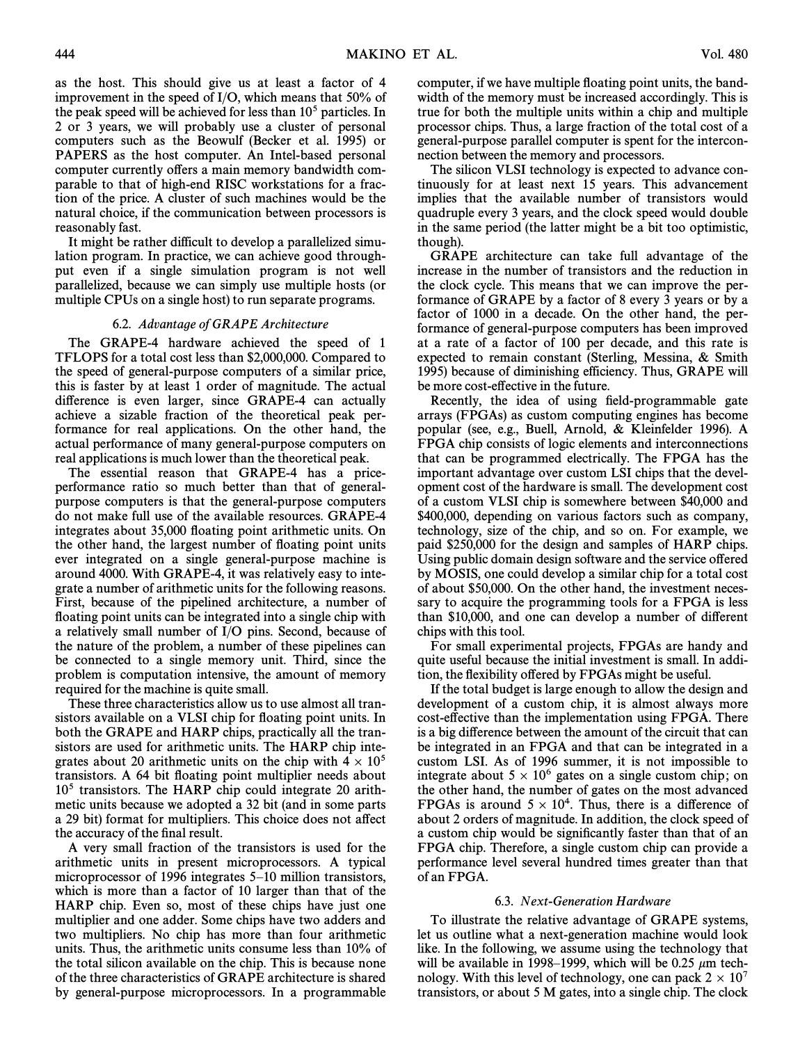as the host. This should give us at least a factor of 4 improvement in the speed of I/O, which means that 50% of the peak speed will be achieved for less than  $10<sup>5</sup>$  particles. In 2 or 3 years, we will probably use a cluster of personal computers such as the Beowulf (Becker et al. 1995) or PAPERS as the host computer. An Intel-based personal computer currently offers a main memory bandwidth comparable to that of high-end RISC workstations for a fraction of the price. A cluster of such machines would be the natural choice, if the communication between processors is reasonably fast.

It might be rather difficult to develop a parallelized simulation program. In practice, we can achieve good throughput even if a single simulation program is not well parallelized, because we can simply use multiple hosts (or multiple CPUs on a single host) to run separate programs.

# 6.2. Advantage of GRAPE Architecture

The GRAPE-4 hardware achieved the speed of 1 TFLOPS for a total cost less than \$2,000,000. Compared to the speed of general-purpose computers of a similar price, this is faster by at least 1 order of magnitude. The actual difference is even larger, since GRAPE-4 can actually achieve a sizable fraction of the theoretical peak performance for real applications. On the other hand, the actual performance of many general-purpose computers on real applications is much lower than the theoretical peak.

The essential reason that GRAPE-4 has a priceperformance ratio so much better than that of generalpurpose computers is that the general-purpose computers do not make full use of the available resources. GRAPE-4 integrates about 35,000 floating point arithmetic units. On the other hand, the largest number of Ñoating point units ever integrated on a single general-purpose machine is around 4000. With GRAPE-4, it was relatively easy to integrate a number of arithmetic units for the following reasons. First, because of the pipelined architecture, a number of floating point units can be integrated into a single chip with a relatively small number of I/O pins. Second, because of the nature of the problem, a number of these pipelines can be connected to a single memory unit. Third, since the problem is computation intensive, the amount of memory required for the machine is quite small.

These three characteristics allow us to use almost all transistors available on a VLSI chip for floating point units. In both the GRAPE and HARP chips, practically all the transistors are used for arithmetic units. The HARP chip integrates about 20 arithmetic units on the chip with  $4 \times 10^5$ transistors. A 64 bit floating point multiplier needs about  $10<sup>5</sup>$  transistors. The HARP chip could integrate 20 arithmetic units because we adopted a 32 bit (and in some parts a 29 bit) format for multipliers. This choice does not affect the accuracy of the final result.

A very small fraction of the transistors is used for the arithmetic units in present microprocessors. A typical microprocessor of 1996 integrates  $5-10$  million transistors, which is more than a factor of 10 larger than that of the HARP chip. Even so, most of these chips have just one multiplier and one adder. Some chips have two adders and two multipliers. No chip has more than four arithmetic units. Thus, the arithmetic units consume less than 10% of the total silicon available on the chip. This is because none of the three characteristics of GRAPE architecture is shared by general-purpose microprocessors. In a programmable computer, if we have multiple floating point units, the bandwidth of the memory must be increased accordingly. This is true for both the multiple units within a chip and multiple processor chips. Thus, a large fraction of the total cost of a general-purpose parallel computer is spent for the interconnection between the memory and processors.

The silicon VLSI technology is expected to advance continuously for at least next 15 years. This advancement implies that the available number of transistors would quadruple every 3 years, and the clock speed would double in the same period (the latter might be a bit too optimistic, though).

GRAPE architecture can take full advantage of the increase in the number of transistors and the reduction in the clock cycle. This means that we can improve the performance of GRAPE by a factor of 8 every 3 years or by a factor of 1000 in a decade. On the other hand, the performance of general-purpose computers has been improved at a rate of a factor of 100 per decade, and this rate is expected to remain constant (Sterling, Messina,  $\&$  Smith 1995) because of diminishing efficiency. Thus, GRAPE will be more cost-effective in the future.

Recently, the idea of using field-programmable gate arrays (FPGAs) as custom computing engines has become popular (see, e.g., Buell, Arnold,  $\&$  Kleinfelder 1996). A FPGA chip consists of logic elements and interconnections that can be programmed electrically. The FPGA has the important advantage over custom LSI chips that the development cost of the hardware is small. The development cost of a custom VLSI chip is somewhere between \$40,000 and \$400,000, depending on various factors such as company, technology, size of the chip, and so on. For example, we paid \$250,000 for the design and samples of HARP chips. Using public domain design software and the service offered by MOSIS, one could develop a similar chip for a total cost of about \$50,000. On the other hand, the investment necessary to acquire the programming tools for a FPGA is less than \$10,000, and one can develop a number of different chips with this tool.

For small experimental projects, FPGAs are handy and quite useful because the initial investment is small. In addition, the flexibility offered by FPGAs might be useful.

If the total budget is large enough to allow the design and development of a custom chip, it is almost always more cost-effective than the implementation using FPGA. There is a big difference between the amount of the circuit that can be integrated in an FPGA and that can be integrated in a custom LSI. As of 1996 summer, it is not impossible to integrate about  $5 \times 10^6$  gates on a single custom chip; on the other hand, the number of gates on the most advanced FPGAs is around  $5 \times 10^4$ . Thus, there is a difference of about 2 orders of magnitude. In addition, the clock speed of a custom chip would be significantly faster than that of an FPGA chip. Therefore, a single custom chip can provide a performance level several hundred times greater than that of an FPGA.

#### 6.3. Next-Generation Hardware

To illustrate the relative advantage of GRAPE systems, let us outline what a next-generation machine would look like. In the following, we assume using the technology that will be available in 1998–1999, which will be 0.25  $\mu$ m technology. With this level of technology, one can pack  $2 \times 10^7$ transistors, or about 5 M gates, into a single chip. The clock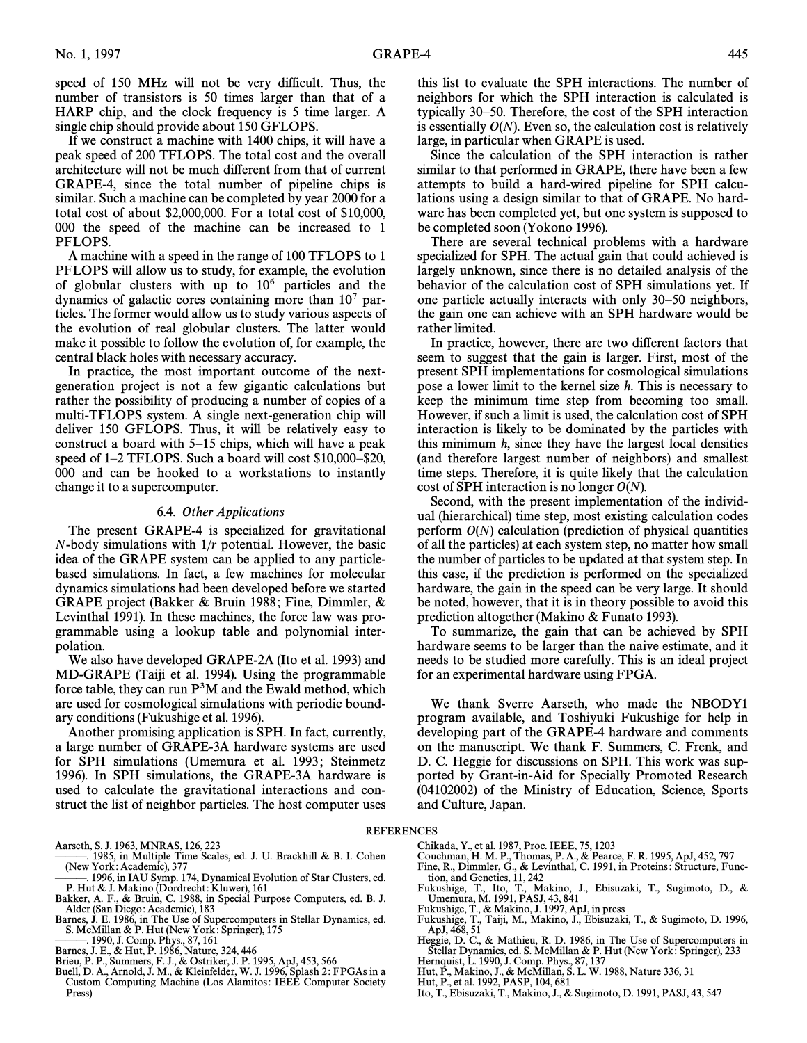speed of 150 MHz will not be very difficult. Thus, the number of transistors is 50 times larger than that of a HARP chip, and the clock frequency is 5 time larger. A single chip should provide about 150 GFLOPS.

If we construct a machine with 1400 chips, it will have a peak speed of 200 TFLOPS. The total cost and the overall architecture will not be much different from that of current GRAPE-4, since the total number of pipeline chips is similar. Such a machine can be completed by year 2000 for a total cost of about \$2,000,000. For a total cost of \$10,000, 000 the speed of the machine can be increased to 1 PFLOPS.

A machine with a speed in the range of 100 TFLOPS to 1 PFLOPS will allow us to study, for example, the evolution of globular clusters with up to  $10^6$  particles and the dynamics of galactic cores containing more than  $10<sup>7</sup>$  particles. The former would allow us to study various aspects of the evolution of real globular clusters. The latter would make it possible to follow the evolution of, for example, the central black holes with necessary accuracy.

In practice, the most important outcome of the nextgeneration project is not a few gigantic calculations but rather the possibility of producing a number of copies of a multi-TFLOPS system. A single next-generation chip will deliver 150 GFLOPS. Thus, it will be relatively easy to construct a board with  $5-15$  chips, which will have a peak speed of  $1-2$  TFLOPS. Such a board will cost \$10,000–\$20, 000 and can be hooked to a workstations to instantly change it to a supercomputer.

# 6.4. Other Applications

The present GRAPE-4 is specialized for gravitational  $N$ -body simulations with  $1/r$  potential. However, the basic idea of the GRAPE system can be applied to any particlebased simulations. In fact, a few machines for molecular dynamics simulations had been developed before we started GRAPE project (Bakker & Bruin 1988; Fine, Dimmler,  $\&$ Levinthal 1991). In these machines, the force law was programmable using a lookup table and polynomial interpolation.

We also have developed GRAPE-2A (Ito et al. 1993) and MD-GRAPE (Taiji et al. 1994). Using the programmable force table, they can run  $P<sup>3</sup>M$  and the Ewald method, which are used for cosmological simulations with periodic boundary conditions (Fukushige et al. 1996).

Another promising application is SPH. In fact, currently, a large number of GRAPE-3A hardware systems are used for SPH simulations (Umemura et al. 1993; Steinmetz 1996). In SPH simulations, the GRAPE-3A hardware is used to calculate the gravitational interactions and construct the list of neighbor particles. The host computer uses this list to evaluate the SPH interactions. The number of neighbors for which the SPH interaction is calculated is typically  $30-50$ . Therefore, the cost of the SPH interaction is essentially  $O(N)$ . Even so, the calculation cost is relatively large, in particular when GRAPE is used.

Since the calculation of the SPH interaction is rather similar to that performed in GRAPE, there have been a few attempts to build a hard-wired pipeline for SPH calculations using a design similar to that of GRAPE. No hardware has been completed yet, but one system is supposed to be completed soon (Yokono 1996).

There are several technical problems with a hardware specialized for SPH. The actual gain that could achieved is largely unknown, since there is no detailed analysis of the behavior of the calculation cost of SPH simulations yet. If one particle actually interacts with only  $30-50$  neighbors, the gain one can achieve with an SPH hardware would be rather limited.

In practice, however, there are two different factors that seem to suggest that the gain is larger. First, most of the present SPH implementations for cosmological simulations pose a lower limit to the kernel size h. This is necessary to keep the minimum time step from becoming too small. However, if such a limit is used, the calculation cost of SPH interaction is likely to be dominated by the particles with this minimum  $h$ , since they have the largest local densities (and therefore largest number of neighbors) and smallest time steps. Therefore, it is quite likely that the calculation cost of SPH interaction is no longer  $O(N)$ .

Second, with the present implementation of the individual (hierarchical) time step, most existing calculation codes perform  $O(N)$  calculation (prediction of physical quantities of all the particles) at each system step, no matter how small the number of particles to be updated at that system step. In this case, if the prediction is performed on the specialized hardware, the gain in the speed can be very large. It should be noted, however, that it is in theory possible to avoid this prediction altogether (Makino  $&$  Funato 1993).

To summarize, the gain that can be achieved by SPH hardware seems to be larger than the naive estimate, and it needs to be studied more carefully. This is an ideal project for an experimental hardware using FPGA.

We thank Sverre Aarseth, who made the NBODY1 program available, and Toshiyuki Fukushige for help in developing part of the GRAPE-4 hardware and comments on the manuscript. We thank F. Summers, C. Frenk, and D. C. Heggie for discussions on SPH. This work was supported by Grant-in-Aid for Specially Promoted Research (04102002) of the Ministry of Education, Science, Sports and Culture, Japan.

- ÈÈÈ. 1985, in Multiple Time Scales, ed. J. U. Brackhill & B. I. Cohen (New York: Academic), 377
- 1996, in IAU Symp. 174, Dynamical Evolution of Star Clusters, ed. P. Hut & J. Makino (Dordrecht: Kluwer), 161
- Bakker, A. F., & Bruin, C. 1988, in Special Purpose Computers, ed. B. J. Alder (San Diego: Academic), 183
- Barnes, J. E. 1986, in The Use of Supercomputers in Stellar Dynamics, ed. S. McMillan & P. Hut (New York: Springer), 175
- ———. 1990, J. Comp. Phys., 87, 161<br>Barnes, J. E., & Hut, P. 1986, Nature, 324, 446
- 
- Brieu, P. P., Summers, F. J., & Ostriker, J. P. 1995, ApJ, 453, 566
- Buell, D. A., Arnold, J. M., & Kleinfelder, W. J. 1996, Splash 2: FPGAs in a Custom Computing Machine (Los Alamitos: IEEE Computer Society Press)
- REFERENCES
	- Chikada, Y., et al. 1987, Proc. IEEE, 75, 1203
	- Couchman, H. M. P., Thomas, P. A., & Pearce, F. R. 1995, ApJ, 452, 797<br>Fine, R., Dimmler, G., & Levinthal, C. 1991, in Proteins: Structure, Func-
	-
	- tion, and Genetics, 11, 242 Fukushige, T., Ito, T., Makino, J., Ebisuzaki, T., Sugimoto, D., & Umemura, M. 1991, PASJ, 43, 841
	- Fukushige, T., & Makino, J. 1997, ApJ, in press<br>Fukushige, T., Taiji, M., Makino, J., Ebisuzaki, T., & Sugimoto, D. 1996,
	- ApJ, 468, 51
	- Heggie, D. C., & Mathieu, R. D. 1986, in The Use of Supercomputers in Stellar Dynamics, ed. S. McMillan & P. Hut (New York: Springer), 233
	- Hernquist, L. 1990, J. Comp. Phys., 87, 137
	- Hut, P., Makino, J., & McMillan, S. L. W. 1988, Nature 336, 31<br>Hut, P., et al. 1992, PASP, 104, 681
	-
	- Ito, T., Ebisuzaki, T., Makino, J., & Sugimoto, D. 1991, PASJ, 43, 547

Aarseth, S. J. 1963, MNRAS, 126, 223